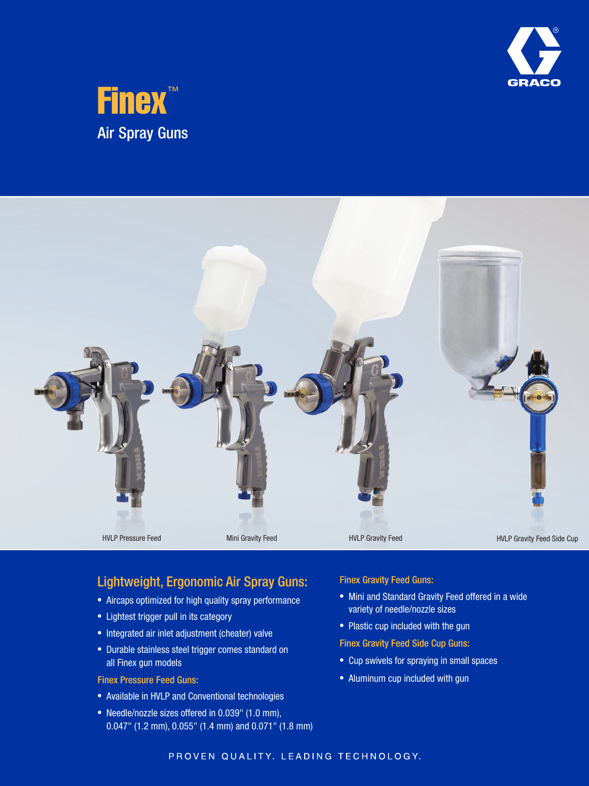





## Lightweight, Ergonomic Air Spray Guns:

- Aircaps optimized for high quality spray performance
- Lightest trigger pull in its category
- Integrated air inlet adjustment (cheater) valve
- Durable stainless steel trigger comes standard on all Finex gun models

Finex Pressure Feed Guns:

- Available in HVLP and Conventional technologies
- Needle/nozzle sizes offered in 0.039" (1.0 mm), 0.047" (1.2 mm), 0.055" (1.4 mm) and 0.071" (1.8 mm)

Finex Gravity Feed Guns:

- Mini and Standard Gravity Feed offered in a wide variety of needle/nozzle sizes
- Plastic cup included with the gun
- Finex Gravity Feed Side Cup Guns:
- Cup swivels for spraying in small spaces
- Aluminum cup included with gun